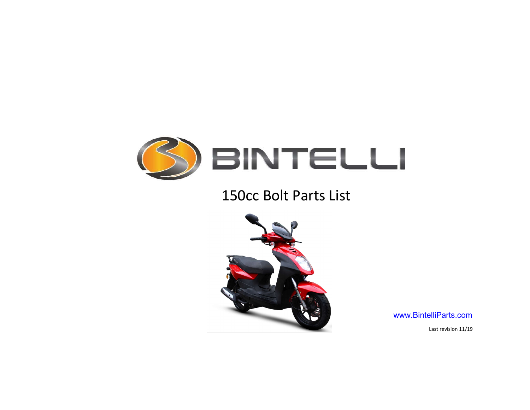

## 150cc Bolt Parts List



www.BintelliParts.com

Last revision 11/19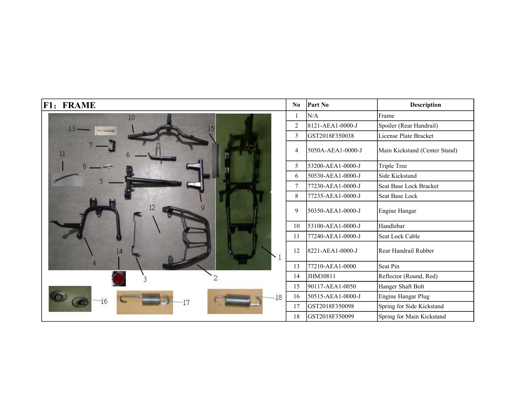| <b>F1: FRAME</b> | $\bf No$       | <b>Part No</b>    | <b>Description</b>            |
|------------------|----------------|-------------------|-------------------------------|
| 10               |                | N/A               | Frame                         |
|                  | $\overline{2}$ | 8121-AEA1-0000-J  | Spoiler (Rear Handrail)       |
|                  | 3              | GST2018F350038    | License Plate Bracket         |
| 11               | 4              | 5050A-AEA1-0000-J | Main Kickstand (Center Stand) |
|                  | 5              | 53200-AEA1-0000-J | Triple Tree                   |
|                  | 6              | 50530-AEA1-0000-J | Side Kickstand                |
|                  | 7              | 77230-AEA1-0000-J | Seat Base Lock Bracket        |
|                  | 8              | 77235-AEA1-0000-J | Seat Base Lock                |
|                  | 9              | 50350-AEA1-0000-J | Engine Hangar                 |
|                  | 10             | 53100-AEA1-0000-J | Handlebar                     |
|                  | 11             | 77240-AEA1-0000-J | Seat Lock Cable               |
| 14               | 12             | 8221-AEA1-0000-J  | Rear Handrail Rubber          |
|                  | 13             | 77210-AEA1-0000   | Seat Pin                      |
| 3                | 14             | JHM30811          | Reflector (Round, Red)        |
|                  | 15             | 90117-AEA1-0050   | Hanger Shaft Bolt             |
| 18<br>L6<br>7    | 16             | 50515-AEA1-0000-J | Engine Hangar Plug            |
|                  | 17             | GST2018F350098    | Spring for Side Kickstand     |
|                  | 18             | GST2018F350099    | Spring for Main Kickstand     |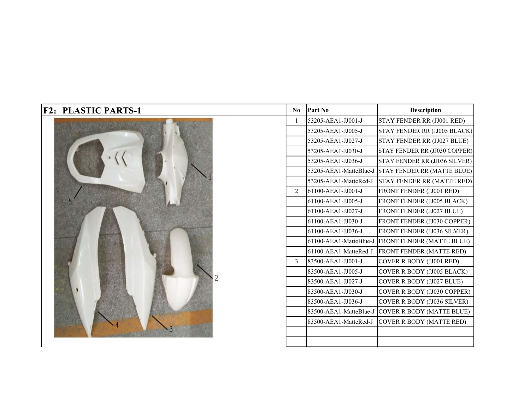| <b>F2: PLASTIC PARTS-1</b> | N <sub>0</sub> | <b>Part No</b>         | <b>Description</b>                                 |
|----------------------------|----------------|------------------------|----------------------------------------------------|
|                            | 1              | 53205-AEA1-JJ001-J     | STAY FENDER RR (JJ001 RED)                         |
|                            |                | 53205-AEA1-JJ005-J     | STAY FENDER RR (JJ005 BLACK)                       |
|                            |                | 53205-AEA1-JJ027-J     | STAY FENDER RR (JJ027 BLUE)                        |
|                            |                | 53205-AEA1-JJ030-J     | STAY FENDER RR (JJ030 COPPER)                      |
|                            |                | 53205-AEA1-JJ036-J     | STAY FENDER RR (JJ036 SILVER)                      |
|                            |                |                        | 53205-AEA1-MatteBlue-J STAY FENDER RR (MATTE BLUE) |
|                            |                | 53205-AEA1-MatteRed-J  | <b>STAY FENDER RR (MATTE RED)</b>                  |
|                            | 2              | 61100-AEA1-JJ001-J     | FRONT FENDER (JJ001 RED)                           |
|                            |                | 61100-AEA1-JJ005-J     | FRONT FENDER (JJ005 BLACK)                         |
|                            |                | 61100-AEA1-JJ027-J     | FRONT FENDER (JJ027 BLUE)                          |
|                            |                | 61100-AEA1-JJ030-J     | FRONT FENDER (JJ030 COPPER)                        |
|                            |                | 61100-AEA1-JJ036-J     | FRONT FENDER (JJ036 SILVER)                        |
|                            |                | 61100-AEA1-MatteBlue-J | <b>FRONT FENDER (MATTE BLUE)</b>                   |
|                            |                | 61100-AEA1-MatteRed-J  | <b>FRONT FENDER (MATTE RED)</b>                    |
|                            | 3              | 83500-AEA1-JJ001-J     | COVER R BODY (JJ001 RED)                           |
|                            |                | 83500-AEA1-JJ005-J     | COVER R BODY (JJ005 BLACK)                         |
|                            |                | 83500-AEA1-JJ027-J     | COVER R BODY (JJ027 BLUE)                          |
|                            |                | 83500-AEA1-JJ030-J     | COVER R BODY (JJ030 COPPER)                        |
|                            |                | 83500-AEA1-JJ036-J     | COVER R BODY (JJ036 SILVER)                        |
|                            |                |                        | 83500-AEA1-MatteBlue-J COVER R BODY (MATTE BLUE)   |
|                            |                | 83500-AEA1-MatteRed-J  | COVER R BODY (MATTE RED)                           |
|                            |                |                        |                                                    |
|                            |                |                        |                                                    |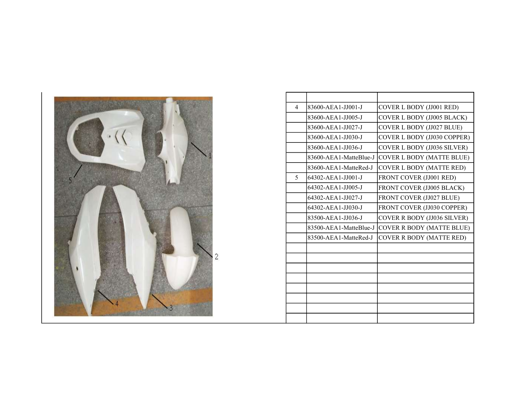

| $\overline{4}$           | 83600-AEA1-JJ001-J     | COVER L BODY (JJ001 RED)         |
|--------------------------|------------------------|----------------------------------|
|                          | 83600-AEA1-JJ005-J     | COVER L BODY (JJ005 BLACK)       |
|                          | 83600-AEA1-JJ027-J     | COVER L BODY (JJ027 BLUE)        |
|                          | 83600-AEA1-JJ030-J     | COVER L BODY (JJ030 COPPER)      |
|                          | 83600-AEA1-JJ036-J     | COVER L BODY (JJ036 SILVER)      |
|                          | 83600-AEA1-MatteBlue-J | <b>COVER L BODY (MATTE BLUE)</b> |
|                          | 83600-AEA1-MatteRed-J  | <b>COVER L BODY (MATTE RED)</b>  |
| $\overline{\phantom{0}}$ | 64302-AEA1-JJ001-J     | FRONT COVER (JJ001 RED)          |
|                          | 64302-AEA1-JJ005-J     | FRONT COVER (JJ005 BLACK)        |
|                          | 64302-AEA1-JJ027-J     | FRONT COVER (JJ027 BLUE)         |
|                          | 64302-AEA1-JJ030-J     | FRONT COVER (JJ030 COPPER)       |
|                          | 83500-AEA1-JJ036-J     | COVER R BODY (JJ036 SILVER)      |
|                          | 83500-AEA1-MatteBlue-J | COVER R BODY (MATTE BLUE)        |
|                          | 83500-AEA1-MatteRed-J  | COVER R BODY (MATTE RED)         |
|                          |                        |                                  |
|                          |                        |                                  |
|                          |                        |                                  |
|                          |                        |                                  |
|                          |                        |                                  |
|                          |                        |                                  |
|                          |                        |                                  |
|                          |                        |                                  |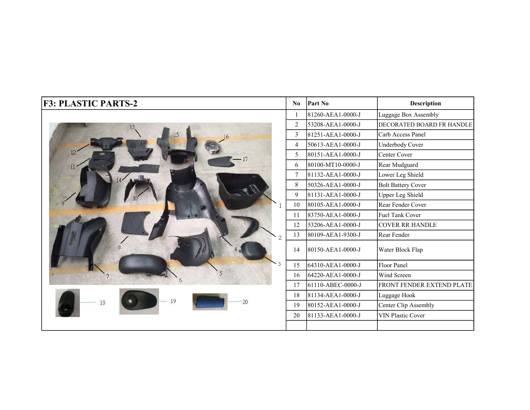| <b>F3: PLASTIC PARTS-2</b> | N <sub>0</sub> | <b>Part No</b>    | <b>Description</b>        |
|----------------------------|----------------|-------------------|---------------------------|
|                            |                | 81260-AEA1-0000-J | Luggage Box Assembly      |
|                            | $\overline{2}$ | 53208-AEA1-0000-J | DECORATED BOARD FR HANDLE |
|                            | 3              | 81251-AEA1-0000-J | Carb Access Panel         |
|                            | $\overline{4}$ | 50613-AEA1-0000-J | Underbody Cover           |
|                            | 5              | 80151-AEA1-0000-J | Center Cover              |
| 11 <sup>2</sup>            | 6              | 80100-MT10-0000-J | Rear Mudguard             |
|                            | $\tau$         | 81132-AEA1-0000-J | Lower Leg Shield          |
|                            | 8              | 50326-AEA1-0000-J | <b>Bolt Battery Cover</b> |
|                            | 9              | 81131-AEA1-0000-J | <b>Upper Leg Shield</b>   |
|                            | 10             | 80105-AEA1-0000-J | Rear Fender Cover         |
|                            | 11             | 83750-AEA1-0000-J | Fuel Tank Cover           |
|                            | 12             | 53206-AEA1-0000-J | <b>COVER RR HANDLE</b>    |
|                            | 13             | 80109-AEA1-9300-J | Rear Fender               |
| 8                          | 14             | 80150-AEA1-0000-J | Water Block Flap          |
|                            | 15             | 64310-AEA1-0000-J | Floor Panel               |
|                            | 16             | 64220-AEA1-0000-J | Wind Screen               |
|                            | 17             | 61110-ABEC-0000-J | FRONT FENDER EXTEND PLATE |
| 19<br>20<br>18             | 18             | 81134-AEA1-0000-J | Luggage Hook              |
|                            | 19             | 80152-AEA1-0000-J | Center Clip Assembly      |
|                            | 20             | 81133-AEA1-0000-J | <b>VIN Plastic Cover</b>  |
|                            |                |                   |                           |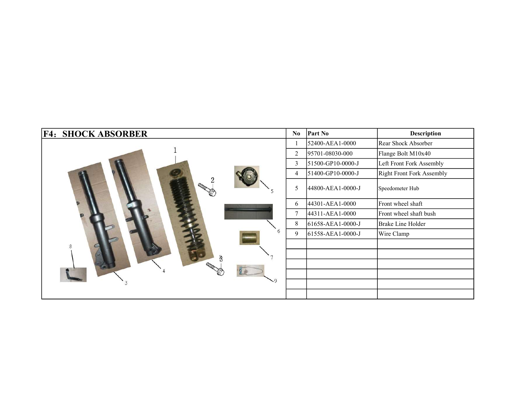| <b>F4: SHOCK ABSORBER</b> | N <sub>0</sub> | <b>Part No</b>    | <b>Description</b>        |
|---------------------------|----------------|-------------------|---------------------------|
|                           |                | 52400-AEA1-0000   | Rear Shock Absorber       |
|                           | $\overline{2}$ | 95701-08030-000   | Flange Bolt M10x40        |
|                           | 3              | 51500-GP10-0000-J | Left Front Fork Assembly  |
|                           | 4              | 51400-GP10-0000-J | Right Front Fork Assembly |
|                           | 5              | 44800-AEA1-0000-J | Speedometer Hub           |
|                           | 6              | 44301-AEA1-0000   | Front wheel shaft         |
|                           | $\tau$         | 44311-AEA1-0000   | Front wheel shaft bush    |
|                           | 8              | 61658-AEA1-0000-J | Brake Line Holder         |
| 6                         | 9              | 61558-AEA1-0000-J | Wire Clamp                |
| 8                         |                |                   |                           |
|                           |                |                   |                           |
|                           |                |                   |                           |
|                           |                |                   |                           |
| ۰q                        |                |                   |                           |
|                           |                |                   |                           |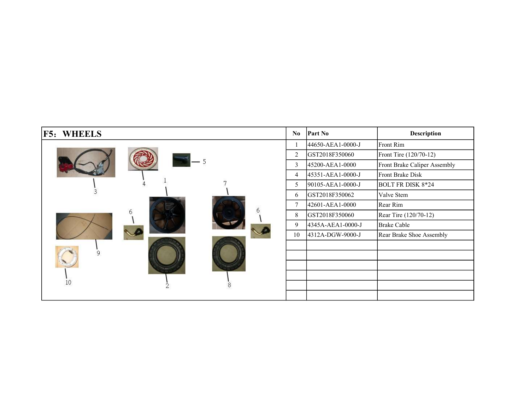| <b>F5: WHEELS</b> | N <sub>0</sub> | <b>Part No</b>    | <b>Description</b>           |
|-------------------|----------------|-------------------|------------------------------|
|                   |                | 44650-AEA1-0000-J | Front Rim                    |
|                   | 2              | GST2018F350060    | Front Tire (120/70-12)       |
|                   | 3              | 45200-AEA1-0000   | Front Brake Caliper Assembly |
|                   | 4              | 45351-AEA1-0000-J | Front Brake Disk             |
|                   | 5              | 90105-AEA1-0000-J | <b>BOLT FR DISK 8*24</b>     |
|                   | 6              | GST2018F350062    | Valve Stem                   |
|                   | 7              | 42601-AEA1-0000   | Rear Rim                     |
|                   | 8              | GST2018F350060    | Rear Tire (120/70-12)        |
|                   | 9              | 4345A-AEA1-0000-J | <b>Brake Cable</b>           |
|                   | 10             | 4312A-DGW-9000-J  | Rear Brake Shoe Assembly     |
|                   |                |                   |                              |
|                   |                |                   |                              |
|                   |                |                   |                              |
|                   |                |                   |                              |
| 10                |                |                   |                              |
|                   |                |                   |                              |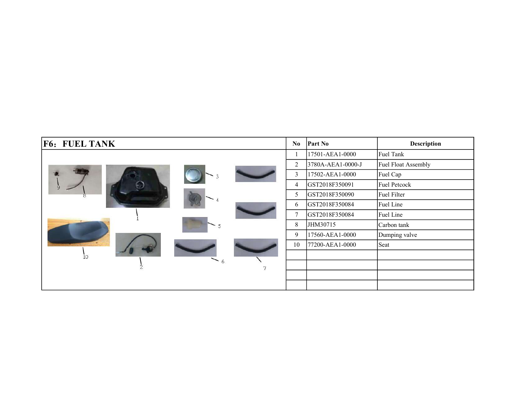| <b>F6: FUEL TANK</b> | N <sub>0</sub> | <b>Part No</b>    | <b>Description</b>  |
|----------------------|----------------|-------------------|---------------------|
|                      |                | 17501-AEA1-0000   | Fuel Tank           |
|                      | $\overline{2}$ | 3780A-AEA1-0000-J | Fuel Float Assembly |
|                      | 3              | 17502-AEA1-0000   | Fuel Cap            |
| 9                    | 4              | GST2018F350091    | <b>Fuel Petcock</b> |
|                      | 5              | GST2018F350090    | Fuel Filter         |
|                      | 6              | GST2018F350084    | Fuel Line           |
|                      | 7              | GST2018F350084    | Fuel Line           |
|                      | 8              | JHM30715          | Carbon tank         |
|                      | 9              | 17560-AEA1-0000   | Dumping valve       |
|                      | 10             | 77200-AEA1-0000   | Seat                |
| 10 <sup>°</sup>      |                |                   |                     |
| $-6$<br>2<br>7       |                |                   |                     |
|                      |                |                   |                     |
|                      |                |                   |                     |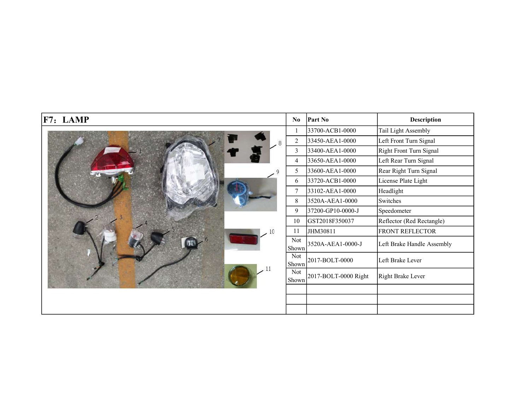| F7: LAMP | N <sub>0</sub> | Part No              | <b>Description</b>         |
|----------|----------------|----------------------|----------------------------|
|          |                | 33700-ACB1-0000      | Tail Light Assembly        |
| 8        | $\overline{c}$ | 33450-AEA1-0000      | Left Front Turn Signal     |
|          | 3              | 33400-AEA1-0000      | Right Front Turn Signal    |
|          | 4              | 33650-AEA1-0000      | Left Rear Turn Signal      |
|          | 5              | 33600-AEA1-0000      | Rear Right Turn Signal     |
|          | 6              | 33720-ACB1-0000      | License Plate Light        |
|          | 7              | 33102-AEA1-0000      | Headlight                  |
|          | 8              | 3520A-AEA1-0000      | Switches                   |
|          | 9              | 37200-GP10-0000-J    | Speedometer                |
|          | 10             | GST2018F350037       | Reflector (Red Rectangle)  |
|          | 11             | JHM30811             | <b>FRONT REFLECTOR</b>     |
|          | Not<br>Shown   | 3520A-AEA1-0000-J    | Left Brake Handle Assembly |
|          | Not<br>Shown   | 2017-BOLT-0000       | Left Brake Lever           |
|          | Not<br>Shown   | 2017-BOLT-0000 Right | Right Brake Lever          |
|          |                |                      |                            |
|          |                |                      |                            |
|          |                |                      |                            |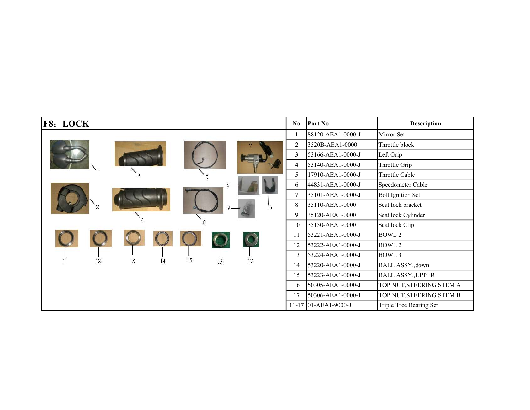| <b>F8: LOCK</b> |    |    |                 |                    |                 | $\bf No$       | <b>Part No</b>       | <b>Description</b>       |
|-----------------|----|----|-----------------|--------------------|-----------------|----------------|----------------------|--------------------------|
|                 |    |    |                 |                    |                 |                | 88120-AEA1-0000-J    | Mirror Set               |
|                 |    |    |                 |                    |                 | 2              | 3520B-AEA1-0000      | Throttle block           |
|                 |    |    |                 |                    |                 | 3              | 53166-AEA1-0000-J    | Left Grip                |
|                 |    |    |                 |                    |                 | 4              | 53140-AEA1-0000-J    | Throttle Grip            |
|                 |    |    |                 |                    |                 | 5              | 17910-AEA1-0000-J    | Throttle Cable           |
|                 |    |    |                 |                    |                 | 6              | 44831-AEA1-0000-J    | Speedometer Cable        |
|                 |    |    |                 |                    |                 | $\overline{7}$ | 35101-AEA1-0000-J    | <b>Bolt Ignition Set</b> |
|                 | 10 | 8  | 35110-AEA1-0000 | Seat lock bracket  |                 |                |                      |                          |
|                 |    | 9  | 35120-AEA1-0000 | Seat lock Cylinder |                 |                |                      |                          |
|                 |    |    |                 | 10                 | 35130-AEA1-0000 | Seat lock Clip |                      |                          |
|                 |    |    |                 |                    |                 | 11             | 53221-AEA1-0000-J    | BOWL 2                   |
|                 |    |    |                 |                    |                 | 12             | 53222-AEA1-0000-J    | BOWL 2                   |
| 11<br>12        | 13 |    | 15              |                    | 17              | 13             | 53224-AEA1-0000-J    | BOWL 3                   |
|                 |    | 14 |                 | 16                 |                 | 14             | 53220-AEA1-0000-J    | BALL ASSY., down         |
|                 |    |    |                 |                    |                 | 15             | 53223-AEA1-0000-J    | <b>BALL ASSY., UPPER</b> |
|                 |    |    |                 |                    |                 | 16             | 50305-AEA1-0000-J    | TOP NUT, STEERING STEM A |
|                 |    |    |                 |                    |                 | 17             | 50306-AEA1-0000-J    | TOP NUT, STEERING STEM B |
|                 |    |    |                 |                    |                 |                | 11-17 01-AEA1-9000-J | Triple Tree Bearing Set  |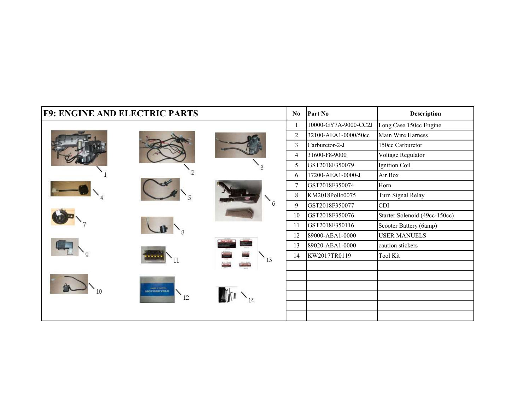| <b>F9: ENGINE AND ELECTRIC PARTS</b> |                                     |                   | No             | Part No              | <b>Description</b>            |
|--------------------------------------|-------------------------------------|-------------------|----------------|----------------------|-------------------------------|
|                                      |                                     |                   | $\mathbf{1}$   | 10000-GY7A-9000-CC2J | Long Case 150cc Engine        |
|                                      |                                     |                   | 2              | 32100-AEA1-0000/50cc | Main Wire Harness             |
|                                      |                                     |                   | $\overline{3}$ | Carburetor-2-J       | 150cc Carburetor              |
|                                      |                                     |                   | 4              | 31600-F8-9000        | Voltage Regulator             |
|                                      |                                     |                   | 5              | GST2018F350079       | Ignition Coil                 |
|                                      |                                     |                   | 6              | 17200-AEA1-0000-J    | Air Box                       |
|                                      |                                     |                   | $\tau$         | GST2018F350074       | Horn                          |
|                                      |                                     |                   | $\,8\,$        | KM2018Pollo0075      | Turn Signal Relay             |
|                                      |                                     | 6                 | $\overline{9}$ | GST2018F350077       | <b>CDI</b>                    |
|                                      |                                     |                   | 10             | GST2018F350076       | Starter Solenoid (49cc-150cc) |
|                                      |                                     |                   | 11             | GST2018F350116       | Scooter Battery (6amp)        |
|                                      |                                     |                   | 12             | 89000-AEA1-0000      | <b>USER MANUELS</b>           |
|                                      |                                     | <b>CAUTIONS</b>   | 13             | 89020-AEA1-0000      | caution stickers              |
|                                      |                                     | $\mathbf{v}_{13}$ | 14             | KW2017TR0119         | <b>Tool Kit</b>               |
|                                      |                                     |                   |                |                      |                               |
|                                      |                                     |                   |                |                      |                               |
|                                      | OWELL & MARCH.<br><b>AOTORCYCLE</b> |                   |                |                      |                               |
|                                      | 12                                  |                   |                |                      |                               |
|                                      |                                     |                   |                |                      |                               |
|                                      |                                     |                   |                |                      |                               |